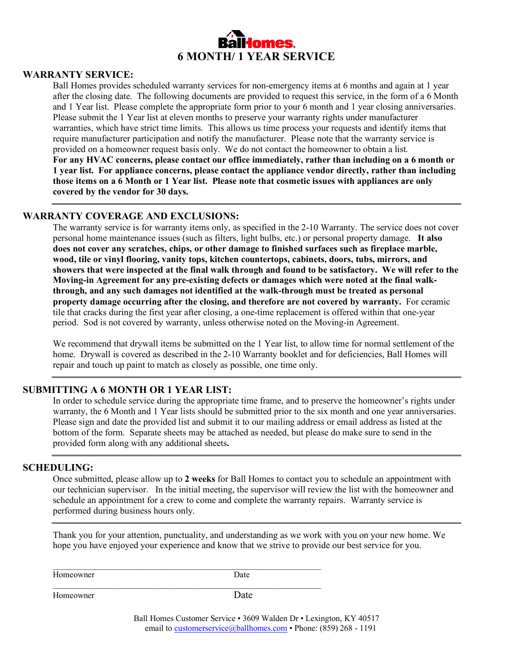

## **WARRANTY SERVICE:**

Ball Homes provides scheduled warranty services for non-emergency items at 6 months and again at 1 year after the closing date. The following documents are provided to request this service, in the form of a 6 Month and 1 Year list. Please complete the appropriate form prior to your 6 month and 1 year closing anniversaries. Please submit the 1 Year list at eleven months to preserve your warranty rights under manufacturer warranties, which have strict time limits. This allows us time process your requests and identify items that require manufacturer participation and notify the manufacturer. Please note that the warranty service is provided on a homeowner request basis only. We do not contact the homeowner to obtain a list. **For any HVAC concerns, please contact our office immediately, rather than including on a 6 month or 1 year list. For appliance concerns, please contact the appliance vendor directly, rather than including those items on a 6 Month or 1 Year list. Please note that cosmetic issues with appliances are only covered by the vendor for 30 days.**

## **WARRANTY COVERAGE AND EXCLUSIONS:**

The warranty service is for warranty items only, as specified in the 2-10 Warranty. The service does not cover personal home maintenance issues (such as filters, light bulbs, etc.) or personal property damage. **It also does not cover any scratches, chips, or other damage to finished surfaces such as fireplace marble, wood, tile or vinyl flooring, vanity tops, kitchen countertops, cabinets, doors, tubs, mirrors, and showers that were inspected at the final walk through and found to be satisfactory. We will refer to the Moving-in Agreement for any pre-existing defects or damages which were noted at the final walkthrough, and any such damages not identified at the walk-through must be treated as personal property damage occurring after the closing, and therefore are not covered by warranty.** For ceramic tile that cracks during the first year after closing, a one-time replacement is offered within that one-year period. Sod is not covered by warranty, unless otherwise noted on the Moving-in Agreement.

We recommend that drywall items be submitted on the 1 Year list, to allow time for normal settlement of the home. Drywall is covered as described in the 2-10 Warranty booklet and for deficiencies, Ball Homes will repair and touch up paint to match as closely as possible, one time only.

### **SUBMITTING A 6 MONTH OR 1 YEAR LIST:**

In order to schedule service during the appropriate time frame, and to preserve the homeowner's rights under warranty, the 6 Month and 1 Year lists should be submitted prior to the six month and one year anniversaries. Please sign and date the provided list and submit it to our mailing address or email address as listed at the bottom of the form. Separate sheets may be attached as needed, but please do make sure to send in the provided form along with any additional sheets**.**

#### **SCHEDULING:**

Once submitted, please allow up to **2 weeks** for Ball Homes to contact you to schedule an appointment with our technician supervisor. In the initial meeting, the supervisor will review the list with the homeowner and schedule an appointment for a crew to come and complete the warranty repairs. Warranty service is performed during business hours only.

Thank you for your attention, punctuality, and understanding as we work with you on your new home. We hope you have enjoyed your experience and know that we strive to provide our best service for you.

\_\_\_\_\_\_\_\_\_\_\_\_\_\_\_\_\_\_\_\_\_\_\_\_\_\_\_\_\_\_\_\_\_\_\_\_\_\_\_\_\_\_\_\_\_\_\_\_\_\_\_\_\_\_\_\_\_\_\_\_\_\_\_\_ Homeowner Date

 $\mathcal{L}_\text{max} = \mathcal{L}_\text{max} = \mathcal{L}_\text{max} = \mathcal{L}_\text{max} = \mathcal{L}_\text{max} = \mathcal{L}_\text{max} = \mathcal{L}_\text{max} = \mathcal{L}_\text{max} = \mathcal{L}_\text{max} = \mathcal{L}_\text{max} = \mathcal{L}_\text{max} = \mathcal{L}_\text{max} = \mathcal{L}_\text{max} = \mathcal{L}_\text{max} = \mathcal{L}_\text{max} = \mathcal{L}_\text{max} = \mathcal{L}_\text{max} = \mathcal{L}_\text{max} = \mathcal{$ 

Homeowner Date

Ball Homes Customer Service • 3609 Walden Dr • Lexington, KY 40517 email to [customerservice@ballhomes.com](mailto:customerservice@ballhomes.com) • Phone: (859) 268 - 1191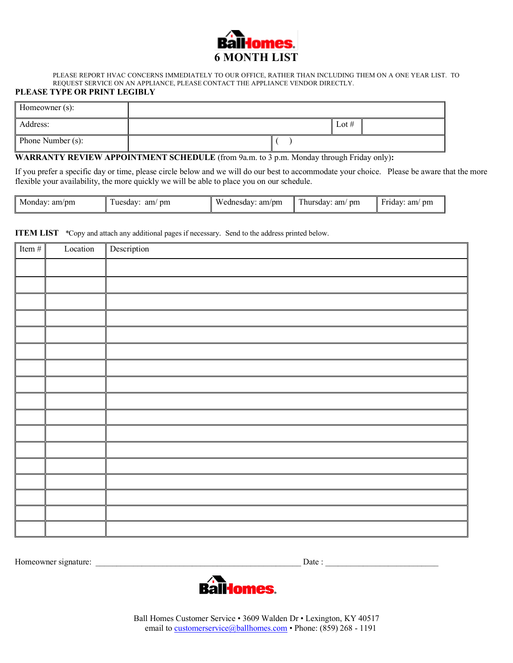

PLEASE REPORT HVAC CONCERNS IMMEDIATELY TO OUR OFFICE, RATHER THAN INCLUDING THEM ON A ONE YEAR LIST. TO REQUEST SERVICE ON AN APPLIANCE, PLEASE CONTACT THE APPLIANCE VENDOR DIRECTLY.

#### **PLEASE TYPE OR PRINT LEGIBLY**

| Homeowner (s):    |  |         |  |
|-------------------|--|---------|--|
| Address:          |  | Lot $#$ |  |
| Phone Number (s): |  |         |  |

**WARRANTY REVIEW APPOINTMENT SCHEDULE** (from 9a.m. to 3 p.m. Monday through Friday only)**:**

If you prefer a specific day or time, please circle below and we will do our best to accommodate your choice. Please be aware that the more flexible your availability, the more quickly we will be able to place you on our schedule.

| Monday:<br>am/m | pm<br>am<br>uesday: | Wednesday:<br>am/pm | $\sim$<br>am<br>hursday:<br>pm | pm<br>am<br>Friday: |
|-----------------|---------------------|---------------------|--------------------------------|---------------------|
|-----------------|---------------------|---------------------|--------------------------------|---------------------|

**ITEM LIST** *\**Copy and attach any additional pages if necessary. Send to the address printed below.

| Item $#$ | Location | Description |
|----------|----------|-------------|
|          |          |             |
|          |          |             |
|          |          |             |
|          |          |             |
|          |          |             |
|          |          |             |
|          |          |             |
|          |          |             |
|          |          |             |
|          |          |             |
|          |          |             |
|          |          |             |
|          |          |             |
|          |          |             |
|          |          |             |
|          |          |             |
|          |          |             |

Homeowner signature: \_\_\_\_\_\_\_\_\_\_\_\_\_\_\_\_\_\_\_\_\_\_\_\_\_\_\_\_\_\_\_\_\_\_\_\_\_\_\_\_\_\_\_\_\_\_\_\_\_ Date : \_\_\_\_\_\_\_\_\_\_\_\_\_\_\_\_\_\_\_\_\_\_\_\_\_\_\_



Ball Homes Customer Service • 3609 Walden Dr • Lexington, KY 40517 email to [customerservice@ballhomes.com](mailto:customerservice@ballhomes.com) • Phone: (859) 268 - 1191